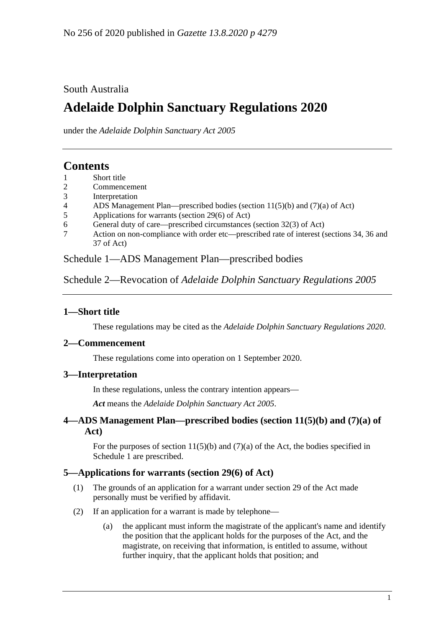### South Australia

# **Adelaide Dolphin Sanctuary Regulations 2020**

under the *Adelaide Dolphin Sanctuary Act 2005*

# **Contents**

- 1 [Short title](#page-0-0)
- 2 [Commencement](#page-0-1)
- 3 [Interpretation](#page-0-2)
- 4 [ADS Management Plan—prescribed bodies \(section 11\(5\)\(b\) and \(7\)\(a\) of Act\)](#page-0-3)
- 5 [Applications for warrants \(section 29\(6\) of Act\)](#page-0-4)
- 6 [General duty of care—prescribed circumstances \(section 32\(3\) of Act\)](#page-1-0)
- 7 [Action on non-compliance with order etc—prescribed rate of interest \(sections 34, 36 and](#page-1-1)  [37 of Act\)](#page-1-1)

Schedule [1—ADS Management Plan—prescribed bodies](#page-1-2)

Schedule 2—Revocation of *[Adelaide Dolphin Sanctuary Regulations](#page-2-0) 2005*

## <span id="page-0-0"></span>**1—Short title**

These regulations may be cited as the *Adelaide Dolphin Sanctuary Regulations 2020*.

#### <span id="page-0-1"></span>**2—Commencement**

These regulations come into operation on 1 September 2020.

### <span id="page-0-2"></span>**3—Interpretation**

In these regulations, unless the contrary intention appears—

*Act* means the *[Adelaide Dolphin Sanctuary Act](http://www.legislation.sa.gov.au/index.aspx?action=legref&type=act&legtitle=Adelaide%20Dolphin%20Sanctuary%20Act%202005) 2005*.

### <span id="page-0-3"></span>**4—ADS Management Plan—prescribed bodies (section 11(5)(b) and (7)(a) of Act)**

For the purposes of section  $11(5)(b)$  and  $(7)(a)$  of the Act, the bodies specified in [Schedule](#page-1-2) 1 are prescribed.

#### <span id="page-0-4"></span>**5—Applications for warrants (section 29(6) of Act)**

- (1) The grounds of an application for a warrant under section 29 of the Act made personally must be verified by affidavit.
- (2) If an application for a warrant is made by telephone—
	- (a) the applicant must inform the magistrate of the applicant's name and identify the position that the applicant holds for the purposes of the Act, and the magistrate, on receiving that information, is entitled to assume, without further inquiry, that the applicant holds that position; and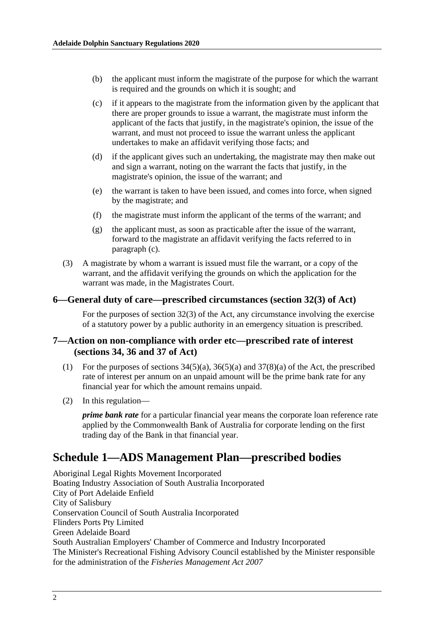- (b) the applicant must inform the magistrate of the purpose for which the warrant is required and the grounds on which it is sought; and
- <span id="page-1-3"></span>(c) if it appears to the magistrate from the information given by the applicant that there are proper grounds to issue a warrant, the magistrate must inform the applicant of the facts that justify, in the magistrate's opinion, the issue of the warrant, and must not proceed to issue the warrant unless the applicant undertakes to make an affidavit verifying those facts; and
- (d) if the applicant gives such an undertaking, the magistrate may then make out and sign a warrant, noting on the warrant the facts that justify, in the magistrate's opinion, the issue of the warrant; and
- (e) the warrant is taken to have been issued, and comes into force, when signed by the magistrate; and
- (f) the magistrate must inform the applicant of the terms of the warrant; and
- (g) the applicant must, as soon as practicable after the issue of the warrant, forward to the magistrate an affidavit verifying the facts referred to in [paragraph](#page-1-3) (c).
- (3) A magistrate by whom a warrant is issued must file the warrant, or a copy of the warrant, and the affidavit verifying the grounds on which the application for the warrant was made, in the Magistrates Court.

#### <span id="page-1-0"></span>**6—General duty of care—prescribed circumstances (section 32(3) of Act)**

For the purposes of section 32(3) of the Act, any circumstance involving the exercise of a statutory power by a public authority in an emergency situation is prescribed.

#### <span id="page-1-1"></span>**7—Action on non-compliance with order etc—prescribed rate of interest (sections 34, 36 and 37 of Act)**

- (1) For the purposes of sections  $34(5)(a)$ ,  $36(5)(a)$  and  $37(8)(a)$  of the Act, the prescribed rate of interest per annum on an unpaid amount will be the prime bank rate for any financial year for which the amount remains unpaid.
- (2) In this regulation—

*prime bank rate* for a particular financial year means the corporate loan reference rate applied by the Commonwealth Bank of Australia for corporate lending on the first trading day of the Bank in that financial year.

# <span id="page-1-2"></span>**Schedule 1—ADS Management Plan—prescribed bodies**

Aboriginal Legal Rights Movement Incorporated Boating Industry Association of South Australia Incorporated City of Port Adelaide Enfield City of Salisbury Conservation Council of South Australia Incorporated Flinders Ports Pty Limited Green Adelaide Board South Australian Employers' Chamber of Commerce and Industry Incorporated The Minister's Recreational Fishing Advisory Council established by the Minister responsible for the administration of the *[Fisheries Management Act](http://www.legislation.sa.gov.au/index.aspx?action=legref&type=act&legtitle=Fisheries%20Management%20Act%202007) 2007*